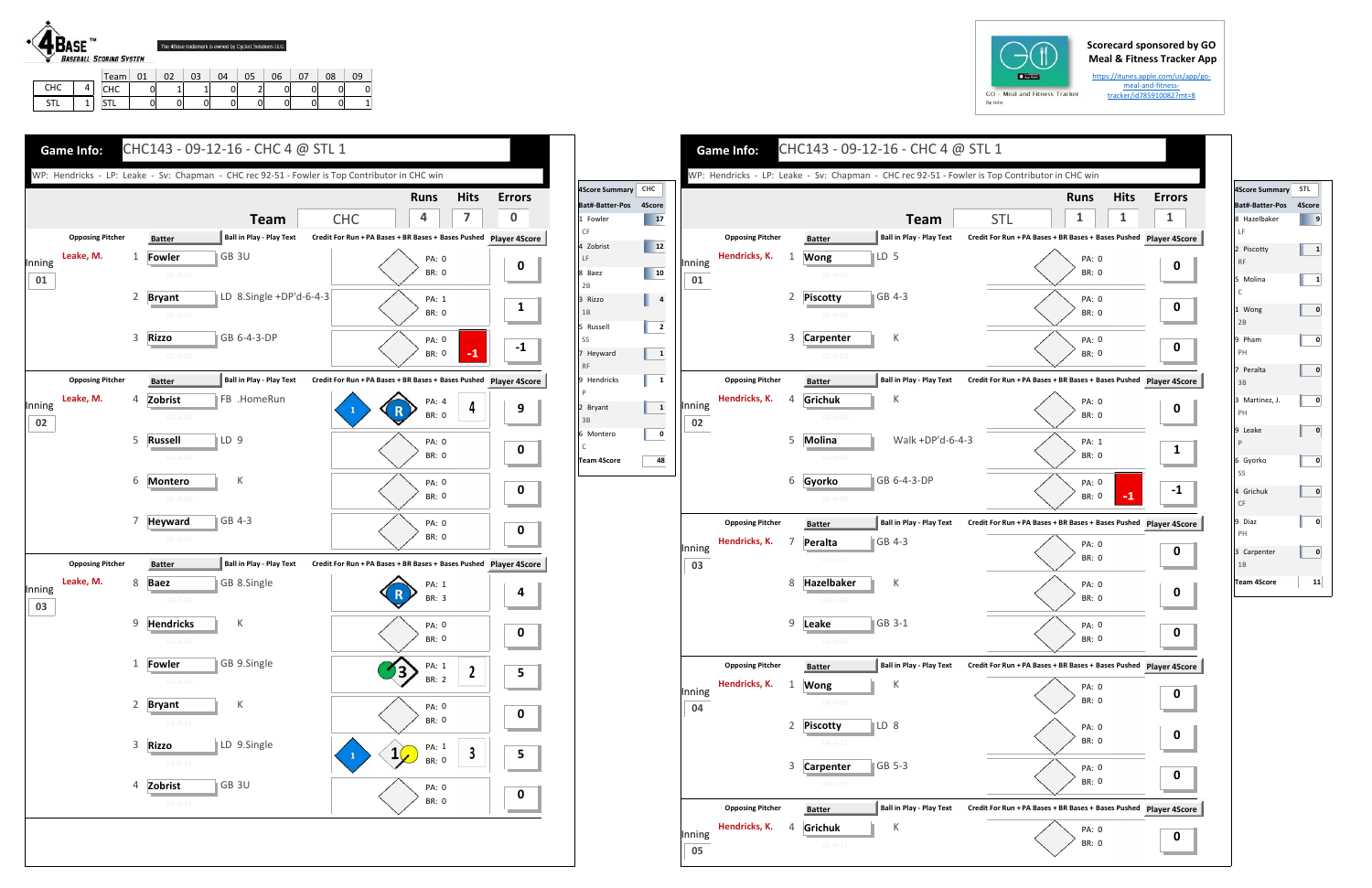## **Scorecard sponsored by GO Meal & Fitness Tracker App**

https://itunes.apple.com/us/app/go‐ meal‐and‐fitness‐ tracker/id785910082?mt=8



|     | Team | 01 |   | 03 | 04 | 06 | 08 |          |
|-----|------|----|---|----|----|----|----|----------|
| снс | CHC  |    |   |    |    |    | 01 | 0        |
| STL | CTI. | U  | 0 | 01 |    |    | 0  | $1\vert$ |







| 4Score Summary STL                                                            |    |
|-------------------------------------------------------------------------------|----|
| Bat#-Batter-Pos 4Score                                                        |    |
| 8 Hazelbaker<br>LF                                                            | 9  |
| 2 Piscotty<br><b>RF</b>                                                       | 1  |
| 5 Molina<br>C                                                                 | 1  |
| 1 Wong<br>2B                                                                  | 0  |
| 9 Pham<br>PH                                                                  | 0  |
| 7 Peralta<br>3B                                                               | 0  |
| 3 Martinez, J.<br>PH                                                          | 0  |
| 9 Leake<br>$\mathsf{P}% _{\mathsf{P}}^{\text{A}}\left( \mathsf{P}_{1}\right)$ | 0  |
| 6 Gyorko<br>SS                                                                | 0  |
| 4 Grichuk<br>CF                                                               | 0  |
| 9 Diaz<br>PH                                                                  | 0  |
| 3 Carpenter<br>1B                                                             | 0  |
| <b>Team 4Score</b>                                                            | 11 |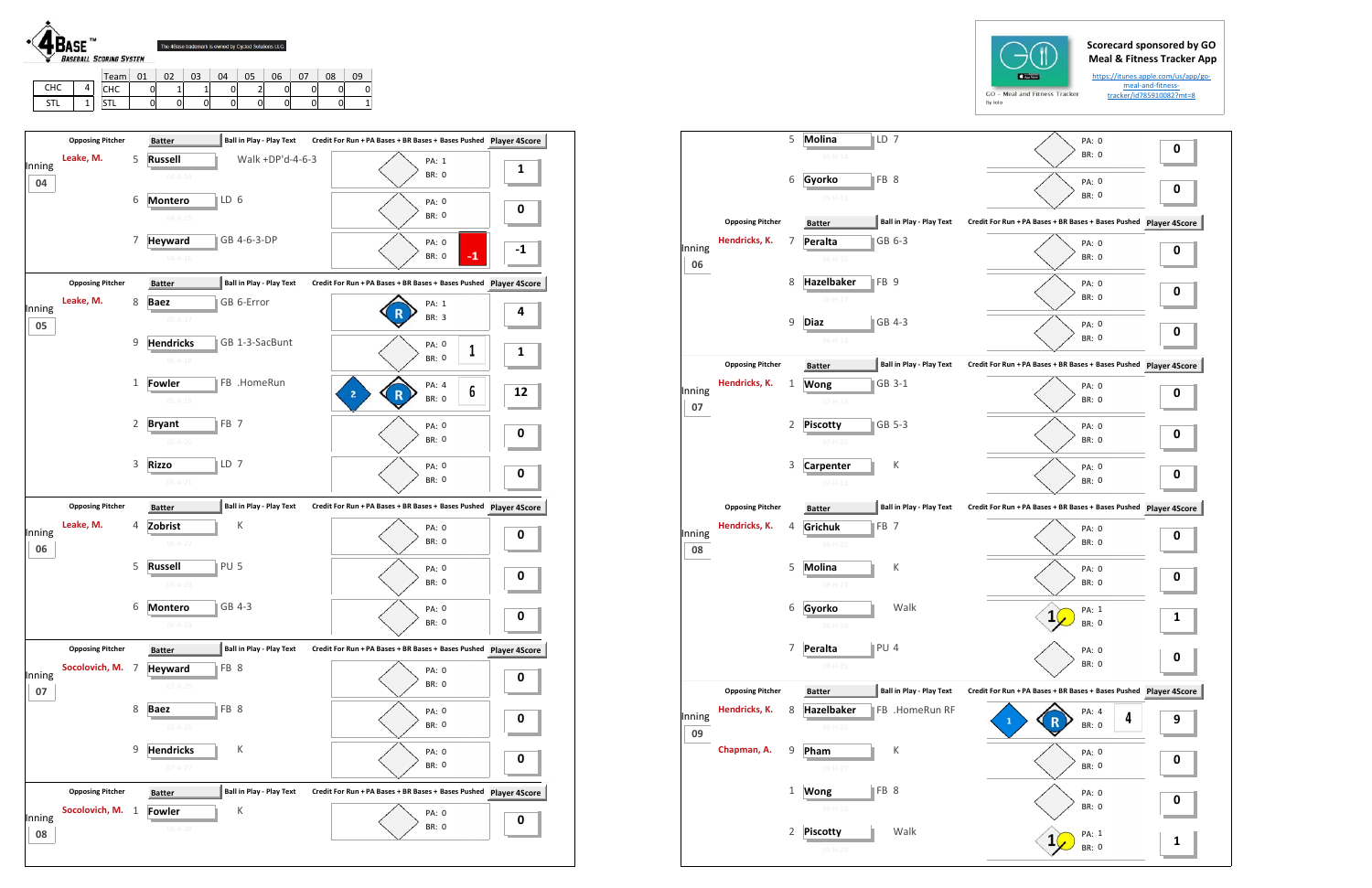STLL | 1

STL | 0 | 0 | 0 | 0 | 0 | 0 | 0 | 1